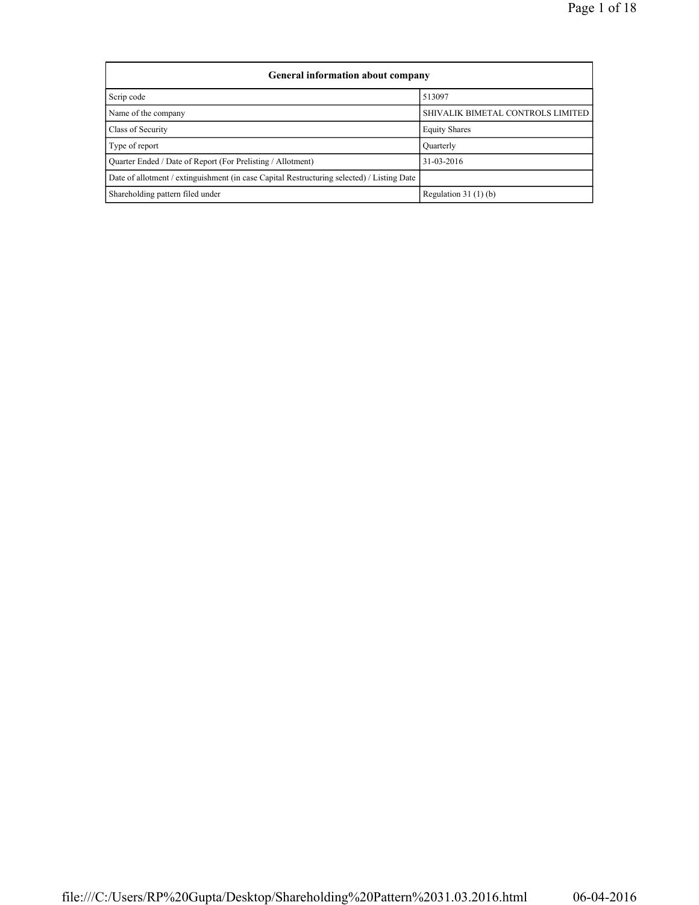| <b>General information about company</b>                                                   |                                   |
|--------------------------------------------------------------------------------------------|-----------------------------------|
| Scrip code                                                                                 | 513097                            |
| Name of the company                                                                        | SHIVALIK BIMETAL CONTROLS LIMITED |
| Class of Security                                                                          | <b>Equity Shares</b>              |
| Type of report                                                                             | Quarterly                         |
| Quarter Ended / Date of Report (For Prelisting / Allotment)                                | 31-03-2016                        |
| Date of allotment / extinguishment (in case Capital Restructuring selected) / Listing Date |                                   |
| Shareholding pattern filed under                                                           | Regulation $31(1)(b)$             |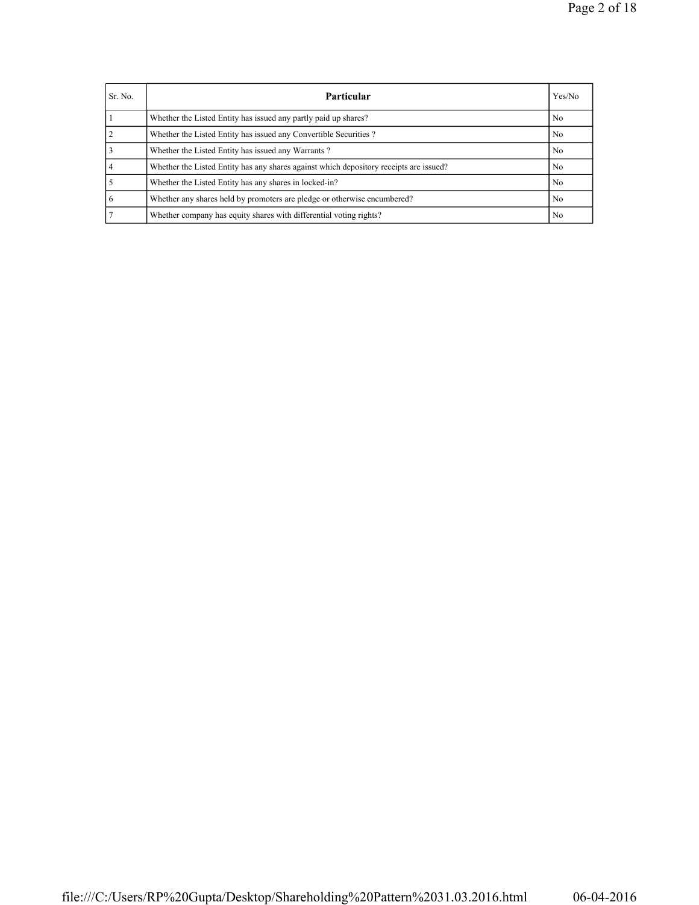| Sr. No. | <b>Particular</b>                                                                      | Yes/No         |
|---------|----------------------------------------------------------------------------------------|----------------|
|         | Whether the Listed Entity has issued any partly paid up shares?                        | N <sub>0</sub> |
|         | Whether the Listed Entity has issued any Convertible Securities?                       | No.            |
|         | Whether the Listed Entity has issued any Warrants?                                     | N <sub>0</sub> |
|         | Whether the Listed Entity has any shares against which depository receipts are issued? | No.            |
|         | Whether the Listed Entity has any shares in locked-in?                                 | N <sub>0</sub> |
| 6       | Whether any shares held by promoters are pledge or otherwise encumbered?               | N <sub>0</sub> |
|         | Whether company has equity shares with differential voting rights?                     | N <sub>0</sub> |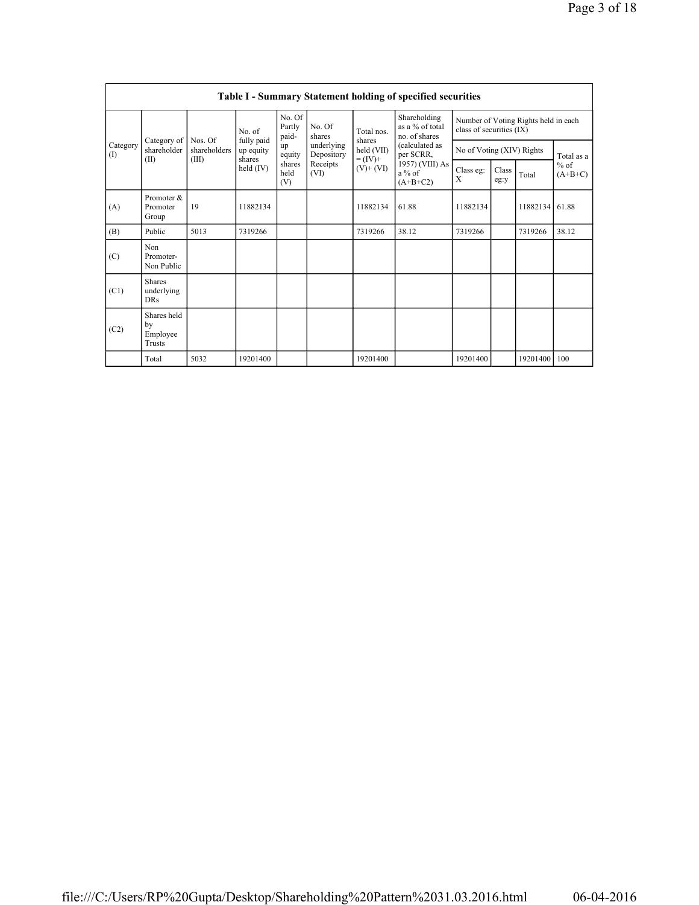|                 |                                           |                         |                         |                           |                          |                              | Table I - Summary Statement holding of specified securities |                           |               |                                      |                     |
|-----------------|-------------------------------------------|-------------------------|-------------------------|---------------------------|--------------------------|------------------------------|-------------------------------------------------------------|---------------------------|---------------|--------------------------------------|---------------------|
|                 |                                           |                         | No. of                  | No. Of<br>Partly<br>paid- | No. Of<br>shares         | Total nos.                   | Shareholding<br>as a % of total<br>no. of shares            | class of securities (IX)  |               | Number of Voting Rights held in each |                     |
| Category<br>(1) | Category of<br>shareholder                | Nos. Of<br>shareholders | fully paid<br>up equity | up<br>equity              | underlying<br>Depository | shares<br>held (VII)         | (calculated as<br>per SCRR,                                 | No of Voting (XIV) Rights |               |                                      | Total as a          |
|                 | (II)                                      | (III)                   | shares<br>held $(IV)$   | shares<br>held<br>(V)     | Receipts<br>(VI)         | $= (IV) +$<br>$(V)$ + $(VI)$ | 1957) (VIII) As<br>$a\%$ of<br>$(A+B+C2)$                   | Class eg:<br>X            | Class<br>eg:y | Total                                | $%$ of<br>$(A+B+C)$ |
| (A)             | Promoter &<br>Promoter<br>Group           | 19                      | 11882134                |                           |                          | 11882134                     | 61.88                                                       | 11882134                  |               | 11882134                             | 61.88               |
| (B)             | Public                                    | 5013                    | 7319266                 |                           |                          | 7319266                      | 38.12                                                       | 7319266                   |               | 7319266                              | 38.12               |
| (C)             | Non<br>Promoter-<br>Non Public            |                         |                         |                           |                          |                              |                                                             |                           |               |                                      |                     |
| (C1)            | <b>Shares</b><br>underlying<br><b>DRs</b> |                         |                         |                           |                          |                              |                                                             |                           |               |                                      |                     |
| (C2)            | Shares held<br>by<br>Employee<br>Trusts   |                         |                         |                           |                          |                              |                                                             |                           |               |                                      |                     |
|                 | Total                                     | 5032                    | 19201400                |                           |                          | 19201400                     |                                                             | 19201400                  |               | 19201400 100                         |                     |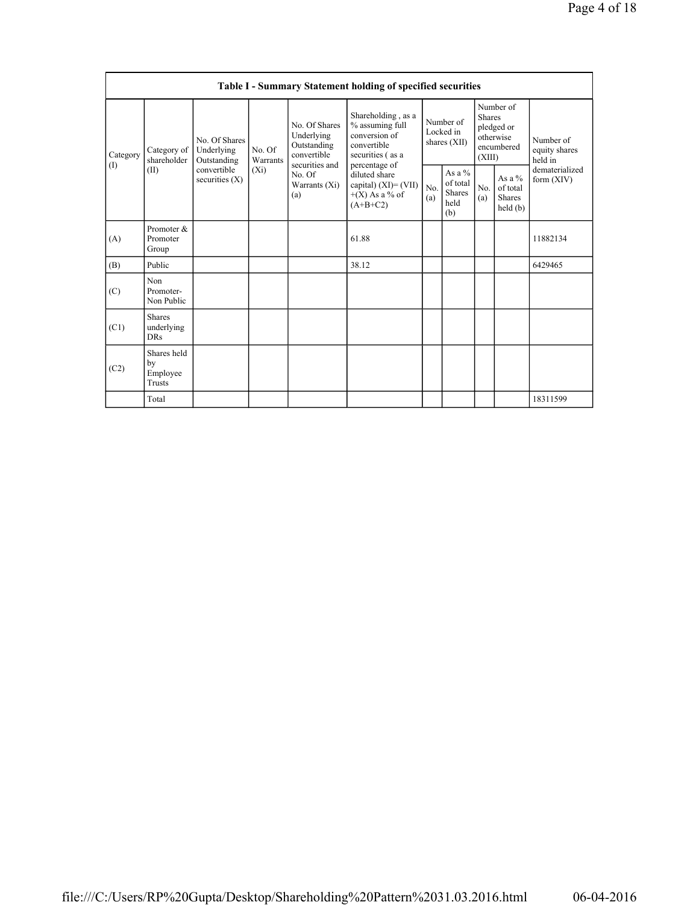|                 |                                                |                                            |                    |                                                                             | Table I - Summary Statement holding of specified securities                                                |            |                                                      |                         |                                                    |                                       |
|-----------------|------------------------------------------------|--------------------------------------------|--------------------|-----------------------------------------------------------------------------|------------------------------------------------------------------------------------------------------------|------------|------------------------------------------------------|-------------------------|----------------------------------------------------|---------------------------------------|
| Category<br>(1) | Category of<br>shareholder                     | No. Of Shares<br>Underlying<br>Outstanding | No. Of<br>Warrants | No. Of Shares<br>Underlying<br>Outstanding<br>convertible<br>securities and | Shareholding, as a<br>% assuming full<br>conversion of<br>convertible<br>securities (as a<br>percentage of |            | Number of<br>Locked in<br>shares (XII)               | <b>Shares</b><br>(XIII) | Number of<br>pledged or<br>otherwise<br>encumbered | Number of<br>equity shares<br>held in |
|                 | (II)                                           | convertible<br>securities $(X)$            | $(X_i)$            | No. Of<br>Warrants (Xi)<br>(a)                                              | diluted share<br>capital) $(XI) = (VII)$<br>$+(X)$ As a % of<br>$(A+B+C2)$                                 | No.<br>(a) | As a $%$<br>of total<br><b>Shares</b><br>held<br>(b) | No.<br>(a)              | As a %<br>of total<br><b>Shares</b><br>held(b)     | dematerialized<br>form $(XIV)$        |
| (A)             | Promoter &<br>Promoter<br>Group                |                                            |                    |                                                                             | 61.88                                                                                                      |            |                                                      |                         |                                                    | 11882134                              |
| (B)             | Public                                         |                                            |                    |                                                                             | 38.12                                                                                                      |            |                                                      |                         |                                                    | 6429465                               |
| (C)             | N <sub>on</sub><br>Promoter-<br>Non Public     |                                            |                    |                                                                             |                                                                                                            |            |                                                      |                         |                                                    |                                       |
| (C1)            | <b>Shares</b><br>underlying<br><b>DRs</b>      |                                            |                    |                                                                             |                                                                                                            |            |                                                      |                         |                                                    |                                       |
| (C2)            | Shares held<br>by<br>Employee<br><b>Trusts</b> |                                            |                    |                                                                             |                                                                                                            |            |                                                      |                         |                                                    |                                       |
|                 | Total                                          |                                            |                    |                                                                             |                                                                                                            |            |                                                      |                         |                                                    | 18311599                              |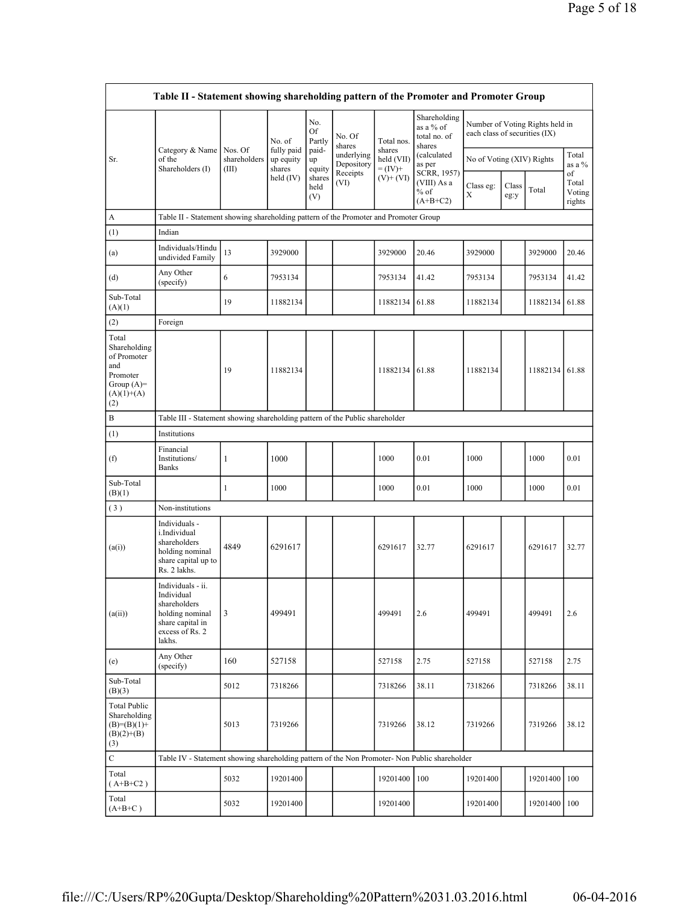|                                                                                      |                                  |                                                  |                                         |                                              |                                                  |                                                       |                                        |                          |                                 |                                   | Page 5 of 18 |
|--------------------------------------------------------------------------------------|----------------------------------|--------------------------------------------------|-----------------------------------------|----------------------------------------------|--------------------------------------------------|-------------------------------------------------------|----------------------------------------|--------------------------|---------------------------------|-----------------------------------|--------------|
|                                                                                      |                                  |                                                  |                                         |                                              |                                                  |                                                       |                                        |                          |                                 |                                   |              |
| Table II - Statement showing shareholding pattern of the Promoter and Promoter Group |                                  |                                                  |                                         |                                              |                                                  |                                                       |                                        |                          |                                 |                                   |              |
|                                                                                      |                                  | No. of                                           | No.<br>Of<br>Partly                     | No. Of<br>shares                             | Total nos.                                       | Shareholding<br>as a $%$ of<br>total no. of<br>shares | each class of securities (IX)          |                          | Number of Voting Rights held in |                                   |              |
| Category & Name<br>of the<br>Shareholders (I)                                        | Nos. Of<br>shareholders<br>(III) | fully paid<br>up equity<br>shares<br>held $(IV)$ | paid-<br>up<br>equity<br>shares<br>held | underlying<br>Depository<br>Receipts<br>(VI) | shares<br>held (VII)<br>$= (IV) +$<br>$(V)+(VI)$ | (calculated)<br>as per<br>SCRR, 1957)<br>(VIII) As a  | No of Voting (XIV) Rights<br>Class eg: | $Class \vert_{T \cup I}$ |                                 | Total<br>as a $\%$<br>of<br>Total |              |

|                                                                                                |                                                                                                                     |                                  | No. of                            | Partly                | No. Of<br>shares                     | Total nos.                        | total no. of<br>shares               | each class of securities $(1\Lambda)$ |               |              |                           |
|------------------------------------------------------------------------------------------------|---------------------------------------------------------------------------------------------------------------------|----------------------------------|-----------------------------------|-----------------------|--------------------------------------|-----------------------------------|--------------------------------------|---------------------------------------|---------------|--------------|---------------------------|
| Sr.                                                                                            | Category & Name<br>of the<br>Shareholders (I)                                                                       | Nos. Of<br>shareholders<br>(III) | fully paid<br>up equity<br>shares | paid-<br>up<br>equity | underlying<br>Depository<br>Receipts | shares<br>held (VII)<br>$=$ (IV)+ | (calculated<br>as per<br>SCRR, 1957) | No of Voting (XIV) Rights             |               |              | Total<br>as a $%$<br>of   |
|                                                                                                |                                                                                                                     |                                  | held $(IV)$                       | shares<br>held<br>(V) | (VI)                                 | $(V)$ + $(VI)$                    | (VIII) As a<br>$%$ of<br>$(A+B+C2)$  | Class eg:<br>Χ                        | Class<br>eg:y | Total        | Total<br>Voting<br>rights |
| A                                                                                              | Table II - Statement showing shareholding pattern of the Promoter and Promoter Group                                |                                  |                                   |                       |                                      |                                   |                                      |                                       |               |              |                           |
| (1)                                                                                            | Indian                                                                                                              |                                  |                                   |                       |                                      |                                   |                                      |                                       |               |              |                           |
| (a)                                                                                            | Individuals/Hindu<br>undivided Family                                                                               | 13                               | 3929000                           |                       |                                      | 3929000                           | 20.46                                | 3929000                               |               | 3929000      | 20.46                     |
| (d)                                                                                            | Any Other<br>(specify)                                                                                              | 6                                | 7953134                           |                       |                                      | 7953134                           | 41.42                                | 7953134                               |               | 7953134      | 41.42                     |
| Sub-Total<br>(A)(1)                                                                            |                                                                                                                     | 19                               | 11882134                          |                       |                                      | 11882134                          | 61.88                                | 11882134                              |               | 11882134     | 61.88                     |
| (2)                                                                                            | Foreign                                                                                                             |                                  |                                   |                       |                                      |                                   |                                      |                                       |               |              |                           |
| Total<br>Shareholding<br>of Promoter<br>and<br>Promoter<br>Group $(A)=$<br>$(A)(1)+(A)$<br>(2) |                                                                                                                     | 19                               | 11882134                          |                       |                                      | 11882134                          | 61.88                                | 11882134                              |               | 11882134     | 61.88                     |
| B                                                                                              | Table III - Statement showing shareholding pattern of the Public shareholder                                        |                                  |                                   |                       |                                      |                                   |                                      |                                       |               |              |                           |
| (1)                                                                                            | Institutions                                                                                                        |                                  |                                   |                       |                                      |                                   |                                      |                                       |               |              |                           |
| (f)                                                                                            | Financial<br>Institutions/<br><b>Banks</b>                                                                          | $\mathbf{1}$                     | 1000                              |                       |                                      | 1000                              | 0.01                                 | 1000                                  |               | 1000         | 0.01                      |
| Sub-Total<br>(B)(1)                                                                            |                                                                                                                     | 1                                | 1000                              |                       |                                      | 1000                              | 0.01                                 | 1000                                  |               | 1000         | 0.01                      |
| (3)                                                                                            | Non-institutions                                                                                                    |                                  |                                   |                       |                                      |                                   |                                      |                                       |               |              |                           |
| (a(i))                                                                                         | Individuals -<br>i.Individual<br>shareholders<br>holding nominal<br>share capital up to<br>Rs. 2 lakhs.             | 4849                             | 6291617                           |                       |                                      | 6291617                           | 32.77                                | 6291617                               |               | 6291617      | 32.77                     |
| (a(ii))                                                                                        | Individuals - ii.<br>Individual<br>shareholders<br>holding nominal<br>share capital in<br>excess of Rs. 2<br>lakhs. | 3                                | 499491                            |                       |                                      | 499491                            | 2.6                                  | 499491                                |               | 499491       | 2.6                       |
| (e)                                                                                            | Any Other<br>(specify)                                                                                              | 160                              | 527158                            |                       |                                      | 527158                            | 2.75                                 | 527158                                |               | 527158       | 2.75                      |
| Sub-Total<br>(B)(3)                                                                            |                                                                                                                     | 5012                             | 7318266                           |                       |                                      | 7318266                           | 38.11                                | 7318266                               |               | 7318266      | 38.11                     |
| <b>Total Public</b><br>Shareholding<br>$(B)= (B)(1) +$<br>$(B)(2)+(B)$<br>(3)                  |                                                                                                                     | 5013                             | 7319266                           |                       |                                      | 7319266                           | 38.12                                | 7319266                               |               | 7319266      | 38.12                     |
| $\mathbf C$                                                                                    | Table IV - Statement showing shareholding pattern of the Non Promoter- Non Public shareholder                       |                                  |                                   |                       |                                      |                                   |                                      |                                       |               |              |                           |
| Total<br>$(A+B+C2)$                                                                            |                                                                                                                     | 5032                             | 19201400                          |                       |                                      | 19201400                          | 100                                  | 19201400                              |               | 19201400     | 100                       |
| Total<br>$(A+B+C)$                                                                             |                                                                                                                     | 5032                             | 19201400                          |                       |                                      | 19201400                          |                                      | 19201400                              |               | 19201400 100 |                           |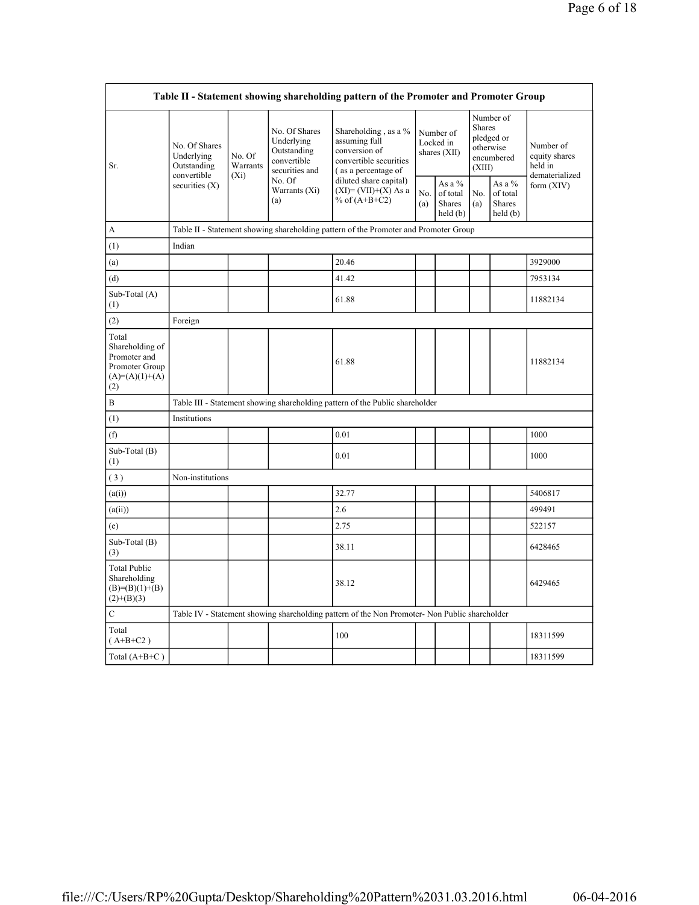|                                                                                       |                                                           |                               |                                                                             | Table II - Statement showing shareholding pattern of the Promoter and Promoter Group                    |            |                                                  |                  |                                                    |                                                         |
|---------------------------------------------------------------------------------------|-----------------------------------------------------------|-------------------------------|-----------------------------------------------------------------------------|---------------------------------------------------------------------------------------------------------|------------|--------------------------------------------------|------------------|----------------------------------------------------|---------------------------------------------------------|
| Sr.                                                                                   | No. Of Shares<br>Underlying<br>Outstanding<br>convertible | No. Of<br>Warrants<br>$(X_i)$ | No. Of Shares<br>Underlying<br>Outstanding<br>convertible<br>securities and | Shareholding, as a %<br>assuming full<br>conversion of<br>convertible securities<br>(as a percentage of |            | Number of<br>Locked in<br>shares (XII)           | Shares<br>(XIII) | Number of<br>pledged or<br>otherwise<br>encumbered | Number of<br>equity shares<br>held in<br>dematerialized |
|                                                                                       | securities $(X)$                                          |                               | No. Of<br>Warrants (Xi)<br>(a)                                              | diluted share capital)<br>$(XI) = (VII)+(X) As a$<br>% of $(A+B+C2)$                                    | No.<br>(a) | As a $%$<br>of total<br><b>Shares</b><br>held(b) | No.<br>(a)       | As a $%$<br>of total<br><b>Shares</b><br>held (b)  | form $(XIV)$                                            |
| A                                                                                     |                                                           |                               |                                                                             | Table II - Statement showing shareholding pattern of the Promoter and Promoter Group                    |            |                                                  |                  |                                                    |                                                         |
| (1)                                                                                   | Indian                                                    |                               |                                                                             |                                                                                                         |            |                                                  |                  |                                                    |                                                         |
| (a)                                                                                   |                                                           |                               |                                                                             | 20.46                                                                                                   |            |                                                  |                  |                                                    | 3929000                                                 |
| (d)                                                                                   |                                                           |                               |                                                                             | 41.42                                                                                                   |            |                                                  |                  |                                                    | 7953134                                                 |
| Sub-Total (A)<br>(1)                                                                  |                                                           |                               |                                                                             | 61.88                                                                                                   |            |                                                  |                  |                                                    | 11882134                                                |
| (2)                                                                                   | Foreign                                                   |                               |                                                                             |                                                                                                         |            |                                                  |                  |                                                    |                                                         |
| Total<br>Shareholding of<br>Promoter and<br>Promoter Group<br>$(A)=(A)(1)+(A)$<br>(2) |                                                           |                               |                                                                             | 61.88                                                                                                   |            |                                                  |                  |                                                    | 11882134                                                |
| B                                                                                     |                                                           |                               |                                                                             | Table III - Statement showing shareholding pattern of the Public shareholder                            |            |                                                  |                  |                                                    |                                                         |
| (1)                                                                                   | Institutions                                              |                               |                                                                             |                                                                                                         |            |                                                  |                  |                                                    |                                                         |
| (f)                                                                                   |                                                           |                               |                                                                             | 0.01                                                                                                    |            |                                                  |                  |                                                    | 1000                                                    |
| Sub-Total (B)<br>(1)                                                                  |                                                           |                               |                                                                             | 0.01                                                                                                    |            |                                                  |                  |                                                    | 1000                                                    |
| (3)                                                                                   | Non-institutions                                          |                               |                                                                             |                                                                                                         |            |                                                  |                  |                                                    |                                                         |
| (a(i))                                                                                |                                                           |                               |                                                                             | 32.77                                                                                                   |            |                                                  |                  |                                                    | 5406817                                                 |
| (a(ii))                                                                               |                                                           |                               |                                                                             | 2.6                                                                                                     |            |                                                  |                  |                                                    | 499491                                                  |
| (e)                                                                                   |                                                           |                               |                                                                             | 2.75                                                                                                    |            |                                                  |                  |                                                    | 522157                                                  |
| Sub-Total $(B)$<br>(3)                                                                |                                                           |                               |                                                                             | 38.11                                                                                                   |            |                                                  |                  |                                                    | 6428465                                                 |
| <b>Total Public</b><br>Shareholding<br>$(B)= (B)(1)+(B)$<br>$(2)+(B)(3)$              |                                                           |                               |                                                                             | 38.12                                                                                                   |            |                                                  |                  |                                                    | 6429465                                                 |
| $\mathcal{C}$                                                                         |                                                           |                               |                                                                             | Table IV - Statement showing shareholding pattern of the Non Promoter- Non Public shareholder           |            |                                                  |                  |                                                    |                                                         |
| Total<br>$(A+B+C2)$                                                                   |                                                           |                               |                                                                             | 100                                                                                                     |            |                                                  |                  |                                                    | 18311599                                                |
| Total $(A+B+C)$                                                                       |                                                           |                               |                                                                             |                                                                                                         |            |                                                  |                  |                                                    | 18311599                                                |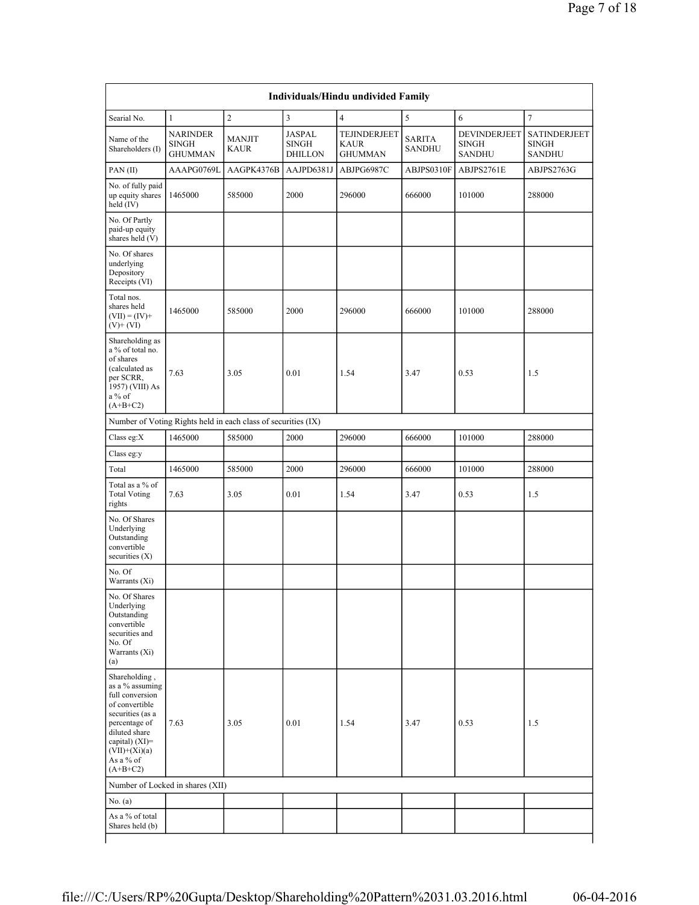| Searial No.                                                                                                                                                                                   | 1                                                 | $\overline{2}$                                                | 3                                        | $\overline{4}$                                | 5                       | 6                                             | 7                                                    |
|-----------------------------------------------------------------------------------------------------------------------------------------------------------------------------------------------|---------------------------------------------------|---------------------------------------------------------------|------------------------------------------|-----------------------------------------------|-------------------------|-----------------------------------------------|------------------------------------------------------|
| Name of the<br>Shareholders (I)                                                                                                                                                               | <b>NARINDER</b><br><b>SINGH</b><br><b>GHUMMAN</b> | <b>MANJIT</b><br><b>KAUR</b>                                  | JASPAL<br><b>SINGH</b><br><b>DHILLON</b> | TEJINDERJEET<br><b>KAUR</b><br><b>GHUMMAN</b> | <b>SARITA</b><br>SANDHU | DEVINDERJEET<br><b>SINGH</b><br><b>SANDHU</b> | <b>SATINDERJEET</b><br><b>SINGH</b><br><b>SANDHU</b> |
| PAN(II)                                                                                                                                                                                       | AAAPG0769L                                        | AAGPK4376B                                                    | AAJPD6381J                               | ABJPG6987C                                    | ABJPS0310F              | ABJPS2761E                                    | ABJPS2763G                                           |
| No. of fully paid<br>up equity shares<br>held $(IV)$                                                                                                                                          | 1465000                                           | 585000                                                        | 2000                                     | 296000                                        | 666000                  | 101000                                        | 288000                                               |
| No. Of Partly<br>paid-up equity<br>shares held (V)                                                                                                                                            |                                                   |                                                               |                                          |                                               |                         |                                               |                                                      |
| No. Of shares<br>underlying<br>Depository<br>Receipts (VI)                                                                                                                                    |                                                   |                                                               |                                          |                                               |                         |                                               |                                                      |
| Total nos.<br>shares held<br>$(VII) = (IV) +$<br>$(V)$ + $(VI)$                                                                                                                               | 1465000                                           | 585000                                                        | 2000                                     | 296000                                        | 666000                  | 101000                                        | 288000                                               |
| Shareholding as<br>a % of total no.<br>of shares<br>(calculated as<br>per SCRR,<br>1957) (VIII) As<br>$a\%$ of<br>$(A+B+C2)$                                                                  | 7.63                                              | 3.05                                                          | 0.01                                     | 1.54                                          | 3.47                    | 0.53                                          | 1.5                                                  |
|                                                                                                                                                                                               |                                                   | Number of Voting Rights held in each class of securities (IX) |                                          |                                               |                         |                                               |                                                      |
| Class eg:X                                                                                                                                                                                    | 1465000                                           | 585000                                                        | 2000                                     | 296000                                        | 666000                  | 101000                                        | 288000                                               |
| Class eg:y                                                                                                                                                                                    |                                                   |                                                               |                                          |                                               |                         |                                               |                                                      |
| Total                                                                                                                                                                                         | 1465000                                           | 585000                                                        | 2000                                     | 296000                                        | 666000                  | 101000                                        | 288000                                               |
| Total as a % of<br><b>Total Voting</b><br>rights                                                                                                                                              | 7.63                                              | 3.05                                                          | 0.01                                     | 1.54                                          | 3.47                    | 0.53                                          | 1.5                                                  |
| No. Of Shares<br>Underlying<br>Outstanding<br>convertible<br>securities $(X)$                                                                                                                 |                                                   |                                                               |                                          |                                               |                         |                                               |                                                      |
| No. Of<br>Warrants (Xi)                                                                                                                                                                       |                                                   |                                                               |                                          |                                               |                         |                                               |                                                      |
| No. Of Shares<br>Underlying<br>Outstanding<br>convertible<br>securities and<br>No. Of<br>Warrants (Xi)<br>(a)                                                                                 |                                                   |                                                               |                                          |                                               |                         |                                               |                                                      |
| Shareholding,<br>as a % assuming<br>full conversion<br>of convertible<br>securities (as a<br>percentage of<br>diluted share<br>capital) $(XI)=$<br>$(VII)+(Xi)(a)$<br>As a % of<br>$(A+B+C2)$ | 7.63                                              | 3.05                                                          | 0.01                                     | 1.54                                          | 3.47                    | 0.53                                          | 1.5                                                  |
|                                                                                                                                                                                               | Number of Locked in shares (XII)                  |                                                               |                                          |                                               |                         |                                               |                                                      |
| No. (a)                                                                                                                                                                                       |                                                   |                                                               |                                          |                                               |                         |                                               |                                                      |
| As a % of total<br>Shares held (b)                                                                                                                                                            |                                                   |                                                               |                                          |                                               |                         |                                               |                                                      |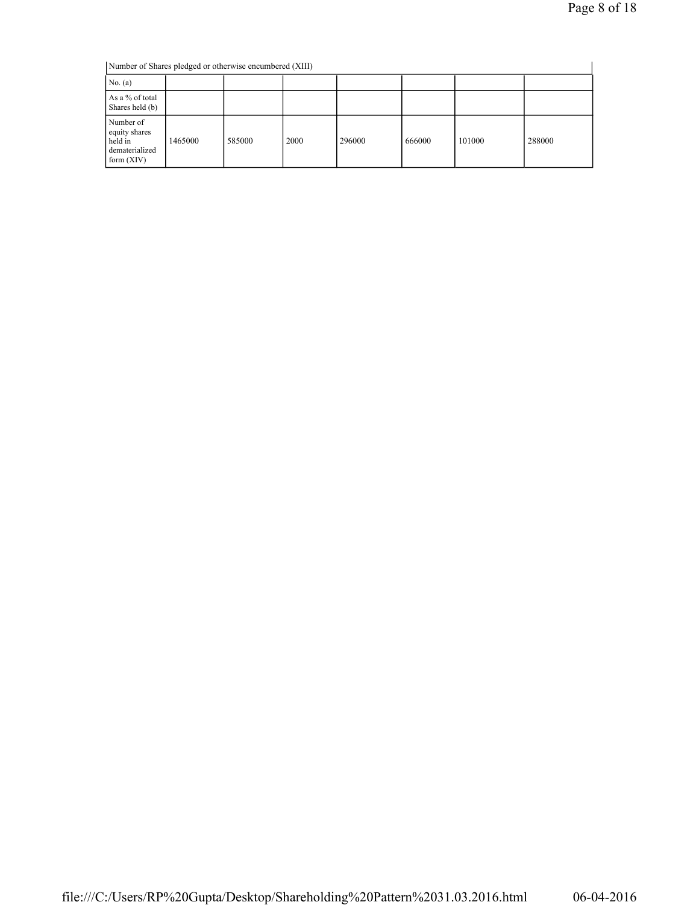| Number of Shares pledged or otherwise encumbered (XIII)                 |         |        |      |        |        |        |        |
|-------------------------------------------------------------------------|---------|--------|------|--------|--------|--------|--------|
| No. $(a)$                                                               |         |        |      |        |        |        |        |
| As a % of total<br>Shares held (b)                                      |         |        |      |        |        |        |        |
| Number of<br>equity shares<br>held in<br>dematerialized<br>form $(XIV)$ | 1465000 | 585000 | 2000 | 296000 | 666000 | 101000 | 288000 |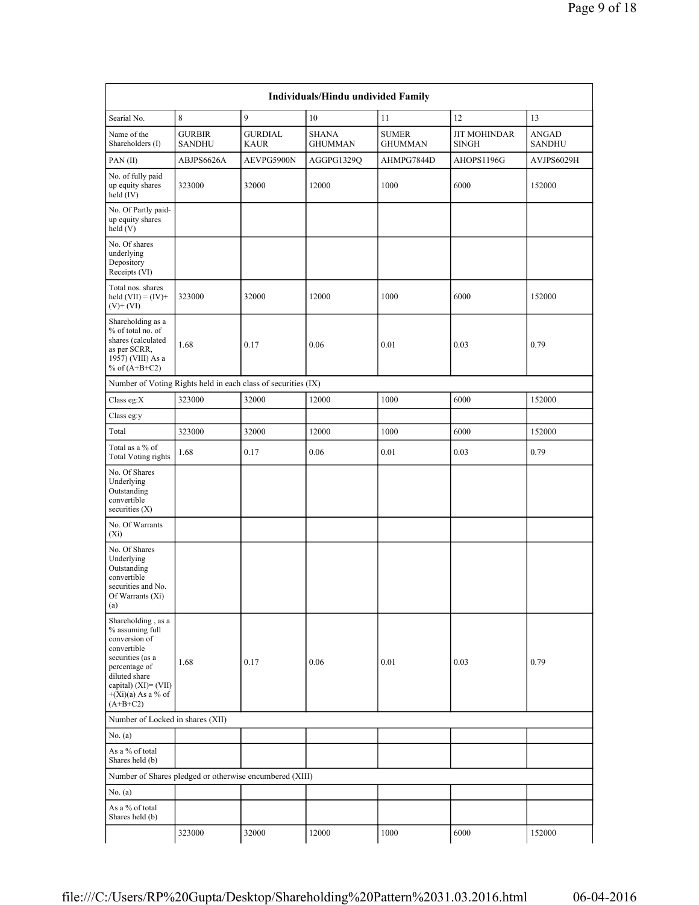|                                                                                                                                                                                              |                                |                                                               | Individuals/Hindu undivided Family |                                |                                     |                        |
|----------------------------------------------------------------------------------------------------------------------------------------------------------------------------------------------|--------------------------------|---------------------------------------------------------------|------------------------------------|--------------------------------|-------------------------------------|------------------------|
| Searial No.                                                                                                                                                                                  | 8                              | 9                                                             | 10                                 | 11                             | 12                                  | 13                     |
| Name of the<br>Shareholders (I)                                                                                                                                                              | <b>GURBIR</b><br><b>SANDHU</b> | <b>GURDIAL</b><br><b>KAUR</b>                                 | <b>SHANA</b><br><b>GHUMMAN</b>     | <b>SUMER</b><br><b>GHUMMAN</b> | <b>JIT MOHINDAR</b><br><b>SINGH</b> | ANGAD<br><b>SANDHU</b> |
| PAN(II)                                                                                                                                                                                      | ABJPS6626A                     | AEVPG5900N                                                    | AGGPG1329Q                         | AHMPG7844D                     | AHOPS1196G                          | AVJPS6029H             |
| No. of fully paid<br>up equity shares<br>held (IV)                                                                                                                                           | 323000                         | 32000                                                         | 12000                              | 1000                           | 6000                                | 152000                 |
| No. Of Partly paid-<br>up equity shares<br>held(V)                                                                                                                                           |                                |                                                               |                                    |                                |                                     |                        |
| No. Of shares<br>underlying<br>Depository<br>Receipts (VI)                                                                                                                                   |                                |                                                               |                                    |                                |                                     |                        |
| Total nos. shares<br>held $(VII) = (IV) +$<br>$(V)$ + $(VI)$                                                                                                                                 | 323000                         | 32000                                                         | 12000                              | 1000                           | 6000                                | 152000                 |
| Shareholding as a<br>% of total no. of<br>shares (calculated<br>as per SCRR,<br>1957) (VIII) As a<br>% of $(A+B+C2)$                                                                         | 1.68                           | 0.17                                                          | 0.06                               | 0.01                           | 0.03                                | 0.79                   |
|                                                                                                                                                                                              |                                | Number of Voting Rights held in each class of securities (IX) |                                    |                                |                                     |                        |
| Class eg:X                                                                                                                                                                                   | 323000                         | 32000                                                         | 12000                              | 1000                           | 6000                                | 152000                 |
| Class eg:y                                                                                                                                                                                   |                                |                                                               |                                    |                                |                                     |                        |
| Total                                                                                                                                                                                        | 323000                         | 32000                                                         | 12000                              | 1000                           | 6000                                | 152000                 |
| Total as a % of<br><b>Total Voting rights</b>                                                                                                                                                | 1.68                           | 0.17                                                          | 0.06                               | 0.01                           | 0.03                                | 0.79                   |
| No. Of Shares<br>Underlying<br>Outstanding<br>convertible<br>securities $(X)$                                                                                                                |                                |                                                               |                                    |                                |                                     |                        |
| No. Of Warrants<br>$(X_i)$                                                                                                                                                                   |                                |                                                               |                                    |                                |                                     |                        |
| No. Of Shares<br>Underlying<br>Outstanding<br>convertible<br>securities and No.<br>Of Warrants (Xi)<br>(a)                                                                                   |                                |                                                               |                                    |                                |                                     |                        |
| Shareholding, as a<br>% assuming full<br>conversion of<br>convertible<br>securities (as a<br>percentage of<br>diluted share<br>capital) $(XI) = (VII)$<br>$+(Xi)(a)$ As a % of<br>$(A+B+C2)$ | 1.68                           | 0.17                                                          | 0.06                               | 0.01                           | 0.03                                | 0.79                   |
| Number of Locked in shares (XII)                                                                                                                                                             |                                |                                                               |                                    |                                |                                     |                        |
| No. $(a)$                                                                                                                                                                                    |                                |                                                               |                                    |                                |                                     |                        |
| As a % of total<br>Shares held (b)                                                                                                                                                           |                                |                                                               |                                    |                                |                                     |                        |
|                                                                                                                                                                                              |                                | Number of Shares pledged or otherwise encumbered (XIII)       |                                    |                                |                                     |                        |
| No. $(a)$                                                                                                                                                                                    |                                |                                                               |                                    |                                |                                     |                        |
| As a % of total<br>Shares held (b)                                                                                                                                                           |                                |                                                               |                                    |                                |                                     |                        |
|                                                                                                                                                                                              | 323000                         | 32000                                                         | 12000                              | 1000                           | 6000                                | 152000                 |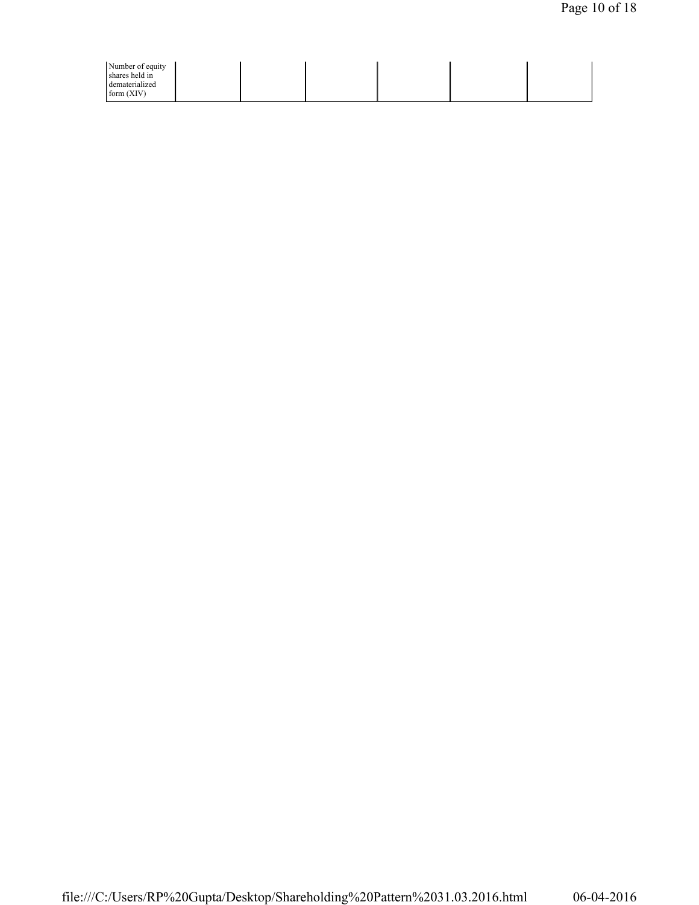|  | Number of equity<br>shares held in<br>dematerialized<br>form $(XIV)$ |  |  |  |  |  |  |
|--|----------------------------------------------------------------------|--|--|--|--|--|--|
|--|----------------------------------------------------------------------|--|--|--|--|--|--|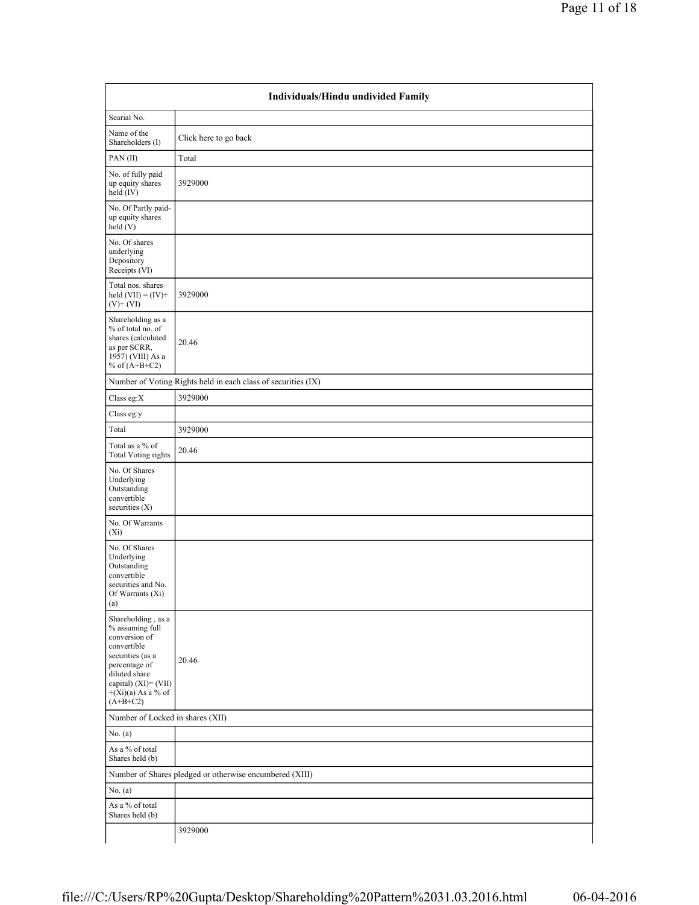|                                                                                                                                                                                           | Individuals/Hindu undivided Family                            |
|-------------------------------------------------------------------------------------------------------------------------------------------------------------------------------------------|---------------------------------------------------------------|
| Searial No.                                                                                                                                                                               |                                                               |
| Name of the<br>Shareholders (I)                                                                                                                                                           | Click here to go back                                         |
| PAN(II)                                                                                                                                                                                   | Total                                                         |
| No. of fully paid<br>up equity shares<br>held (IV)                                                                                                                                        | 3929000                                                       |
| No. Of Partly paid-<br>up equity shares<br>held (V)                                                                                                                                       |                                                               |
| No. Of shares<br>underlying<br>Depository<br>Receipts (VI)                                                                                                                                |                                                               |
| Total nos. shares<br>held $(VII) = (IV) +$<br>$(V)$ + $(VI)$                                                                                                                              | 3929000                                                       |
| Shareholding as a<br>% of total no. of<br>shares (calculated<br>as per SCRR,<br>1957) (VIII) As a<br>% of $(A+B+C2)$                                                                      | 20.46                                                         |
|                                                                                                                                                                                           | Number of Voting Rights held in each class of securities (IX) |
| Class eg: $X$                                                                                                                                                                             | 3929000                                                       |
| Class eg:y                                                                                                                                                                                |                                                               |
| Total                                                                                                                                                                                     | 3929000                                                       |
| Total as a % of<br><b>Total Voting rights</b>                                                                                                                                             | 20.46                                                         |
| No. Of Shares<br>Underlying<br>Outstanding<br>convertible<br>securities (X)                                                                                                               |                                                               |
| No. Of Warrants<br>$(X_i)$                                                                                                                                                                |                                                               |
| No. Of Shares<br>Underlying<br>Outstanding<br>convertible<br>securities and No.<br>Of Warrants (Xi)<br>(a)                                                                                |                                                               |
| Shareholding, as a<br>% assuming full<br>conversion of<br>convertible<br>securities (as a<br>percentage of<br>diluted share<br>capital) (XI)= (VII)<br>$+(Xi)(a)$ As a % of<br>$(A+B+C2)$ | 20.46                                                         |
| Number of Locked in shares (XII)                                                                                                                                                          |                                                               |
| No. (a)                                                                                                                                                                                   |                                                               |
| As a % of total<br>Shares held (b)                                                                                                                                                        |                                                               |
|                                                                                                                                                                                           | Number of Shares pledged or otherwise encumbered (XIII)       |
| No. $(a)$                                                                                                                                                                                 |                                                               |
| As a % of total<br>Shares held (b)                                                                                                                                                        |                                                               |
|                                                                                                                                                                                           | 3929000                                                       |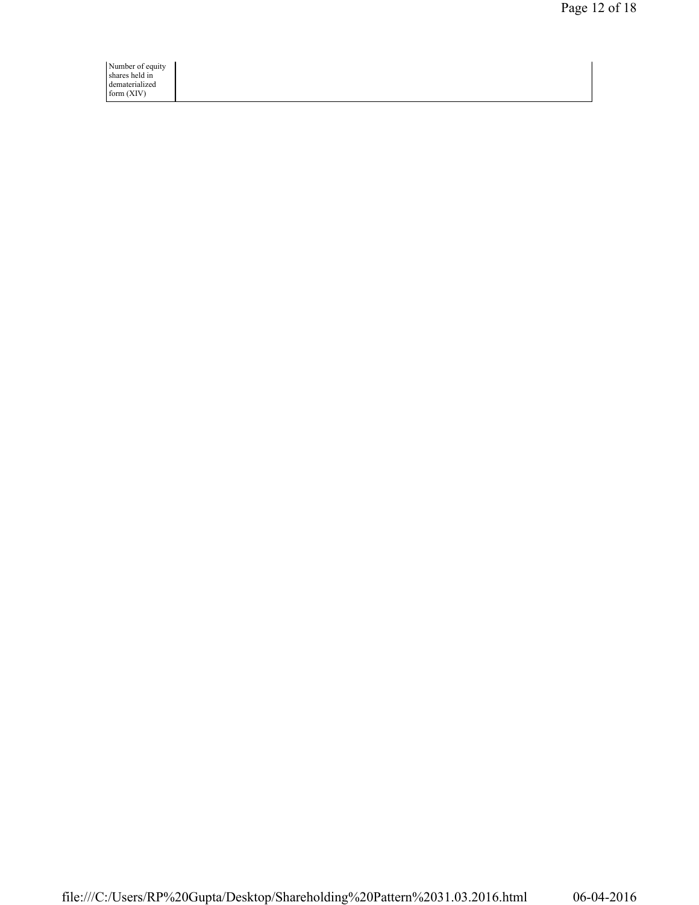Number of equity shares held in dematerialized form (XIV)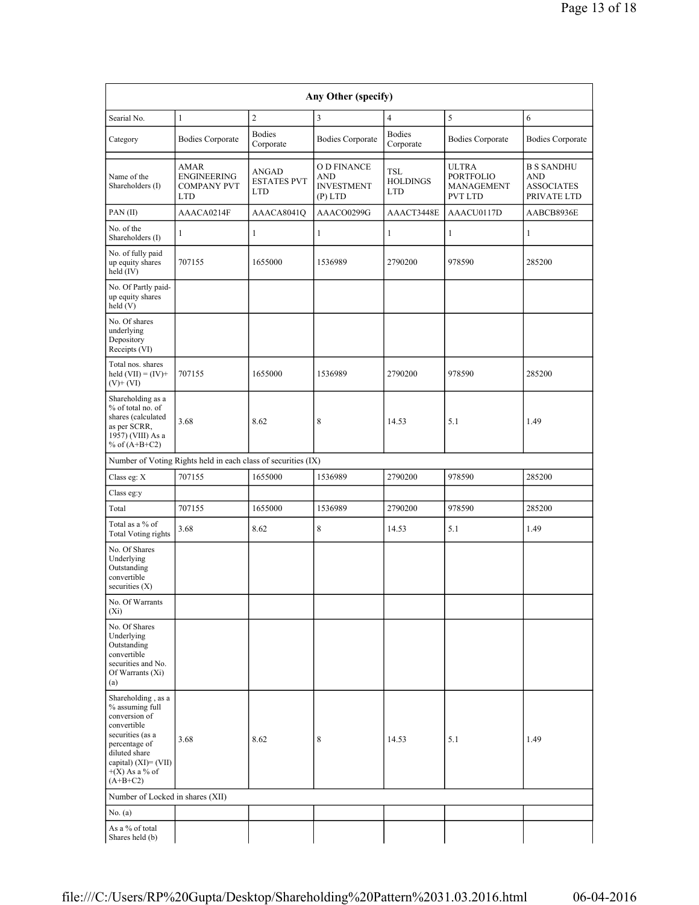| Any Other (specify)                                                                                                                                                                   |                                                                |                                           |                                                      |                                             |                                                                  |                                                                     |  |
|---------------------------------------------------------------------------------------------------------------------------------------------------------------------------------------|----------------------------------------------------------------|-------------------------------------------|------------------------------------------------------|---------------------------------------------|------------------------------------------------------------------|---------------------------------------------------------------------|--|
| Searial No.                                                                                                                                                                           | 1                                                              | $\overline{c}$                            | 3                                                    | $\overline{4}$                              | 5                                                                | 6                                                                   |  |
| Category                                                                                                                                                                              | <b>Bodies Corporate</b>                                        | <b>Bodies</b><br>Corporate                | <b>Bodies Corporate</b>                              | <b>Bodies</b><br>Corporate                  | <b>Bodies Corporate</b>                                          | <b>Bodies Corporate</b>                                             |  |
| Name of the<br>Shareholders (I)                                                                                                                                                       | AMAR<br><b>ENGINEERING</b><br><b>COMPANY PVT</b><br><b>LTD</b> | ANGAD<br><b>ESTATES PVT</b><br><b>LTD</b> | O D FINANCE<br>AND<br><b>INVESTMENT</b><br>$(P)$ LTD | <b>TSL</b><br><b>HOLDINGS</b><br><b>LTD</b> | <b>ULTRA</b><br><b>PORTFOLIO</b><br>MANAGEMENT<br><b>PVT LTD</b> | <b>B S SANDHU</b><br><b>AND</b><br><b>ASSOCIATES</b><br>PRIVATE LTD |  |
| PAN(II)                                                                                                                                                                               | AAACA0214F                                                     | AAACA8041Q                                | AAACO0299G                                           | AAACT3448E                                  | AAACU0117D                                                       | AABCB8936E                                                          |  |
| No. of the<br>Shareholders (I)                                                                                                                                                        | 1                                                              | $\mathbf{1}$                              | $\mathbf{1}$                                         | 1                                           | $\mathbf{1}$                                                     | $\mathbf{1}$                                                        |  |
| No. of fully paid<br>up equity shares<br>held $(IV)$                                                                                                                                  | 707155                                                         | 1655000                                   | 1536989                                              | 2790200                                     | 978590                                                           | 285200                                                              |  |
| No. Of Partly paid-<br>up equity shares<br>held(V)                                                                                                                                    |                                                                |                                           |                                                      |                                             |                                                                  |                                                                     |  |
| No. Of shares<br>underlying<br>Depository<br>Receipts (VI)                                                                                                                            |                                                                |                                           |                                                      |                                             |                                                                  |                                                                     |  |
| Total nos. shares<br>held $(VII) = (IV) +$<br>$(V)$ + $(VI)$                                                                                                                          | 707155                                                         | 1655000                                   | 1536989                                              | 2790200                                     | 978590                                                           | 285200                                                              |  |
| Shareholding as a<br>% of total no. of<br>shares (calculated<br>as per SCRR,<br>1957) (VIII) As a<br>% of $(A+B+C2)$                                                                  | 3.68                                                           | 8.62                                      | 8                                                    | 14.53                                       | 5.1                                                              | 1.49                                                                |  |
|                                                                                                                                                                                       | Number of Voting Rights held in each class of securities (IX)  |                                           |                                                      |                                             |                                                                  |                                                                     |  |
| Class eg: X                                                                                                                                                                           | 707155                                                         | 1655000                                   | 1536989                                              | 2790200                                     | 978590                                                           | 285200                                                              |  |
| Class eg:y                                                                                                                                                                            |                                                                |                                           |                                                      |                                             |                                                                  |                                                                     |  |
| Total                                                                                                                                                                                 | 707155                                                         | 1655000                                   | 1536989                                              | 2790200                                     | 978590                                                           | 285200                                                              |  |
| Total as a % of<br><b>Total Voting rights</b>                                                                                                                                         | 3.68                                                           | 8.62                                      | 8                                                    | 14.53                                       | 5.1                                                              | 1.49                                                                |  |
| No. Of Shares<br>Underlying<br>Outstanding<br>convertible<br>securities $(X)$                                                                                                         |                                                                |                                           |                                                      |                                             |                                                                  |                                                                     |  |
| No. Of Warrants<br>$(X_i)$                                                                                                                                                            |                                                                |                                           |                                                      |                                             |                                                                  |                                                                     |  |
| No. Of Shares<br>Underlying<br>Outstanding<br>convertible<br>securities and No.<br>Of Warrants (Xi)<br>(a)                                                                            |                                                                |                                           |                                                      |                                             |                                                                  |                                                                     |  |
| Shareholding, as a<br>% assuming full<br>conversion of<br>convertible<br>securities (as a<br>percentage of<br>diluted share<br>capital) (XI)= (VII)<br>$+(X)$ As a % of<br>$(A+B+C2)$ | 3.68                                                           | 8.62                                      | 8                                                    | 14.53                                       | 5.1                                                              | 1.49                                                                |  |
| Number of Locked in shares (XII)                                                                                                                                                      |                                                                |                                           |                                                      |                                             |                                                                  |                                                                     |  |
| No. $(a)$                                                                                                                                                                             |                                                                |                                           |                                                      |                                             |                                                                  |                                                                     |  |
| As a % of total<br>Shares held (b)                                                                                                                                                    |                                                                |                                           |                                                      |                                             |                                                                  |                                                                     |  |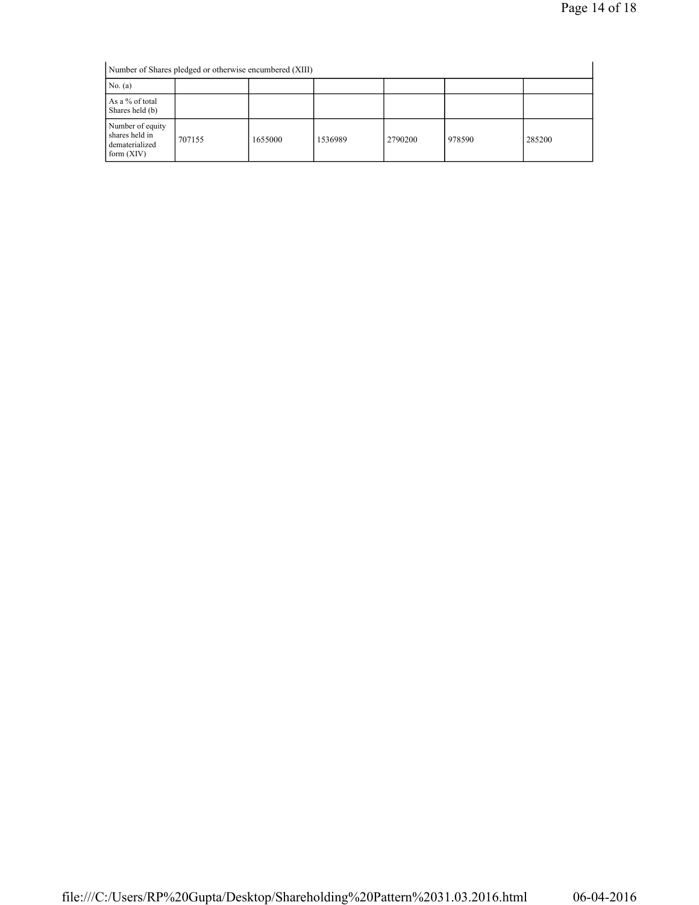Number of Shares pledged or otherwise encumbered (XIII) No. (a) As a % of total Shares held (b) Number of equity shares held in dematerialized form (XIV) 707155 1655000 1536989 2790200 978590 285200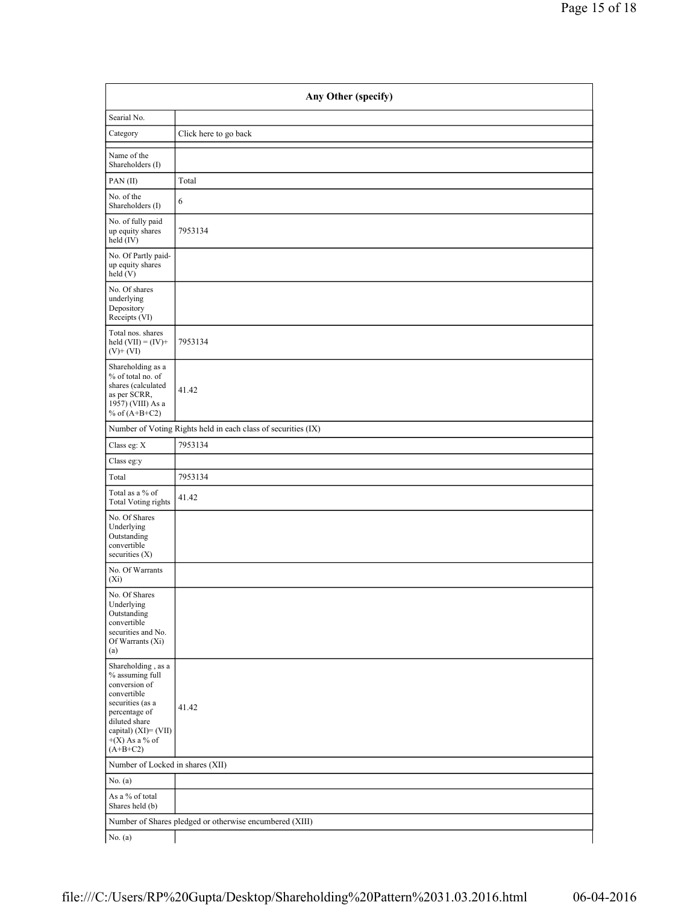| Any Other (specify)                                                                                                                                                                    |                                                               |  |  |  |
|----------------------------------------------------------------------------------------------------------------------------------------------------------------------------------------|---------------------------------------------------------------|--|--|--|
| Searial No.                                                                                                                                                                            |                                                               |  |  |  |
| Category                                                                                                                                                                               | Click here to go back                                         |  |  |  |
| Name of the<br>Shareholders (I)                                                                                                                                                        |                                                               |  |  |  |
| PAN(II)                                                                                                                                                                                | Total                                                         |  |  |  |
| No. of the<br>Shareholders (I)                                                                                                                                                         | 6                                                             |  |  |  |
| No. of fully paid<br>up equity shares<br>held (IV)                                                                                                                                     | 7953134                                                       |  |  |  |
| No. Of Partly paid-<br>up equity shares<br>held (V)                                                                                                                                    |                                                               |  |  |  |
| No. Of shares<br>underlying<br>Depository<br>Receipts (VI)                                                                                                                             |                                                               |  |  |  |
| Total nos. shares<br>held $(VII) = (IV) +$<br>$(V)$ + $(VI)$                                                                                                                           | 7953134                                                       |  |  |  |
| Shareholding as a<br>% of total no. of<br>shares (calculated<br>as per SCRR,<br>1957) (VIII) As a<br>% of $(A+B+C2)$                                                                   | 41.42                                                         |  |  |  |
|                                                                                                                                                                                        | Number of Voting Rights held in each class of securities (IX) |  |  |  |
| Class eg: X                                                                                                                                                                            | 7953134                                                       |  |  |  |
| Class eg:y                                                                                                                                                                             |                                                               |  |  |  |
| Total                                                                                                                                                                                  | 7953134                                                       |  |  |  |
| Total as a % of<br><b>Total Voting rights</b>                                                                                                                                          | 41.42                                                         |  |  |  |
| No. Of Shares<br>Underlying<br>Outstanding<br>convertible<br>securities (X)                                                                                                            |                                                               |  |  |  |
| No. Of Warrants<br>$(X_i)$                                                                                                                                                             |                                                               |  |  |  |
| No. Of Shares<br>Underlying<br>Outstanding<br>convertible<br>securities and No.<br>Of Warrants (Xi)<br>(a)                                                                             |                                                               |  |  |  |
| Shareholding, as a<br>% assuming full<br>conversion of<br>convertible<br>securities (as a<br>percentage of<br>diluted share<br>capital) $(XI)=(VII)$<br>$+(X)$ As a % of<br>$(A+B+C2)$ | 41.42                                                         |  |  |  |
| Number of Locked in shares (XII)                                                                                                                                                       |                                                               |  |  |  |
| No. (a)                                                                                                                                                                                |                                                               |  |  |  |
| As a % of total<br>Shares held (b)                                                                                                                                                     |                                                               |  |  |  |
| Number of Shares pledged or otherwise encumbered (XIII)                                                                                                                                |                                                               |  |  |  |
| No. $(a)$                                                                                                                                                                              |                                                               |  |  |  |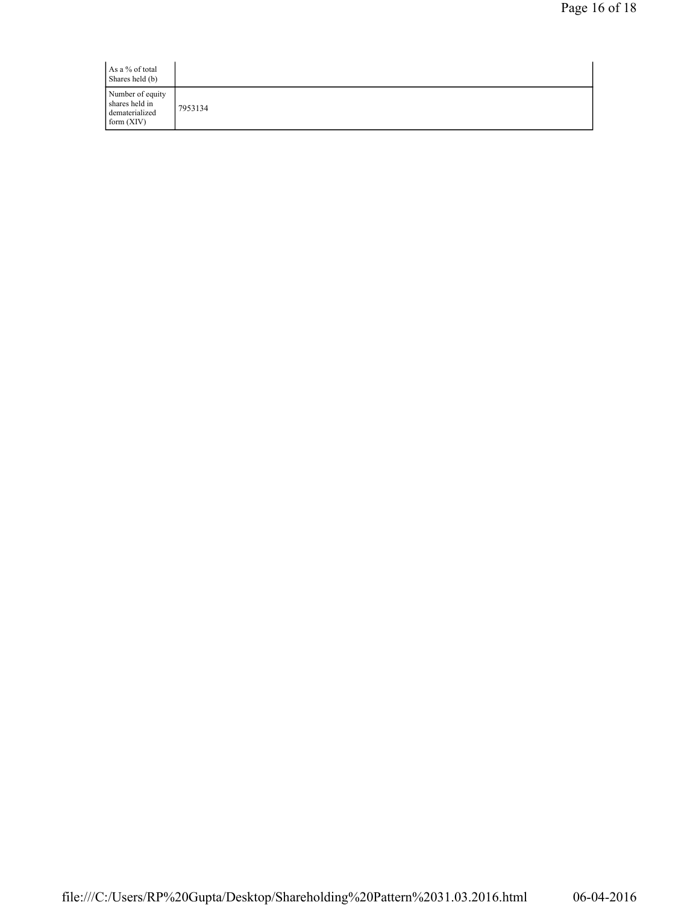| As a % of total<br>Shares held (b)                                   |         |
|----------------------------------------------------------------------|---------|
| Number of equity<br>shares held in<br>dematerialized<br>form $(XIV)$ | 7953134 |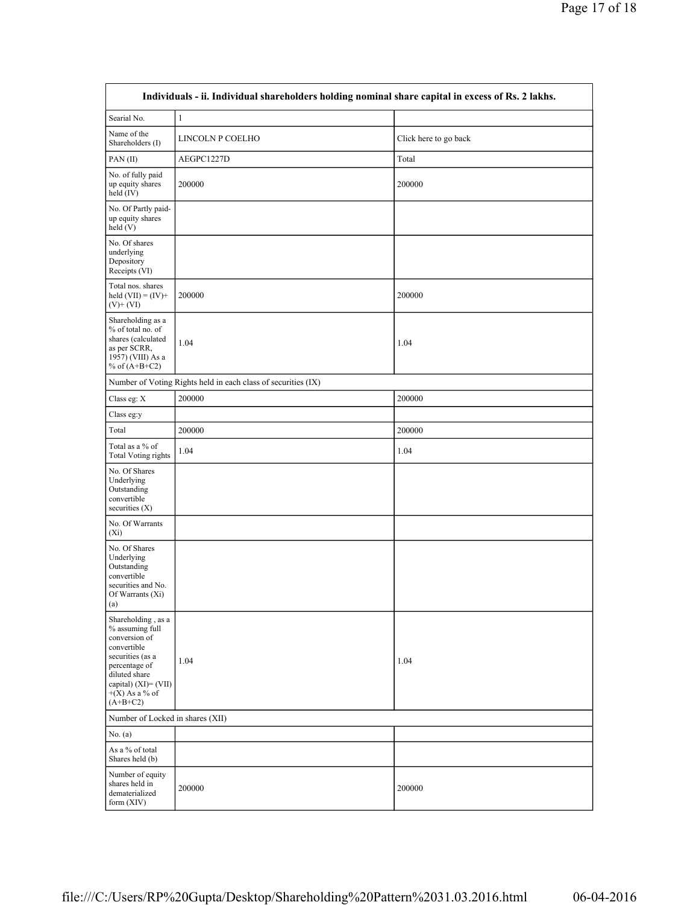| Individuals - ii. Individual shareholders holding nominal share capital in excess of Rs. 2 lakhs.                                                                                        |                                                               |                       |  |  |  |  |
|------------------------------------------------------------------------------------------------------------------------------------------------------------------------------------------|---------------------------------------------------------------|-----------------------|--|--|--|--|
| Searial No.                                                                                                                                                                              | $\,1$                                                         |                       |  |  |  |  |
| Name of the<br>Shareholders (I)                                                                                                                                                          | LINCOLN P COELHO                                              | Click here to go back |  |  |  |  |
| PAN(II)                                                                                                                                                                                  | AEGPC1227D                                                    | Total                 |  |  |  |  |
| No. of fully paid<br>up equity shares<br>held (IV)                                                                                                                                       | 200000                                                        | 200000                |  |  |  |  |
| No. Of Partly paid-<br>up equity shares<br>held (V)                                                                                                                                      |                                                               |                       |  |  |  |  |
| No. Of shares<br>underlying<br>Depository<br>Receipts (VI)                                                                                                                               |                                                               |                       |  |  |  |  |
| Total nos. shares<br>held $(VII) = (IV) +$<br>$(V)$ + $(VI)$                                                                                                                             | 200000                                                        | 200000                |  |  |  |  |
| Shareholding as a<br>% of total no. of<br>shares (calculated<br>as per SCRR,<br>1957) (VIII) As a<br>% of $(A+B+C2)$                                                                     | 1.04                                                          | 1.04                  |  |  |  |  |
|                                                                                                                                                                                          | Number of Voting Rights held in each class of securities (IX) |                       |  |  |  |  |
| Class eg: X                                                                                                                                                                              | 200000                                                        | 200000                |  |  |  |  |
| Class eg:y                                                                                                                                                                               |                                                               |                       |  |  |  |  |
| Total                                                                                                                                                                                    | 200000                                                        | 200000                |  |  |  |  |
| Total as a % of<br><b>Total Voting rights</b>                                                                                                                                            | 1.04                                                          | 1.04                  |  |  |  |  |
| No. Of Shares<br>Underlying<br>Outstanding<br>convertible<br>securities (X)                                                                                                              |                                                               |                       |  |  |  |  |
| No. Of Warrants<br>$(X_i)$                                                                                                                                                               |                                                               |                       |  |  |  |  |
| No. Of Shares<br>Underlying<br>Outstanding<br>convertible<br>securities and No.<br>Of Warrants (Xi)<br>(a)                                                                               |                                                               |                       |  |  |  |  |
| Shareholding, as a<br>% assuming full<br>conversion of<br>convertible<br>securities (as a<br>percentage of<br>diluted share<br>capital) $(XI) = (VII)$<br>$+(X)$ As a % of<br>$(A+B+C2)$ | 1.04                                                          | 1.04                  |  |  |  |  |
|                                                                                                                                                                                          | Number of Locked in shares (XII)                              |                       |  |  |  |  |
| No. (a)                                                                                                                                                                                  |                                                               |                       |  |  |  |  |
| As a % of total<br>Shares held (b)                                                                                                                                                       |                                                               |                       |  |  |  |  |
| Number of equity<br>shares held in<br>dematerialized<br>form $(XIV)$                                                                                                                     | 200000                                                        | 200000                |  |  |  |  |